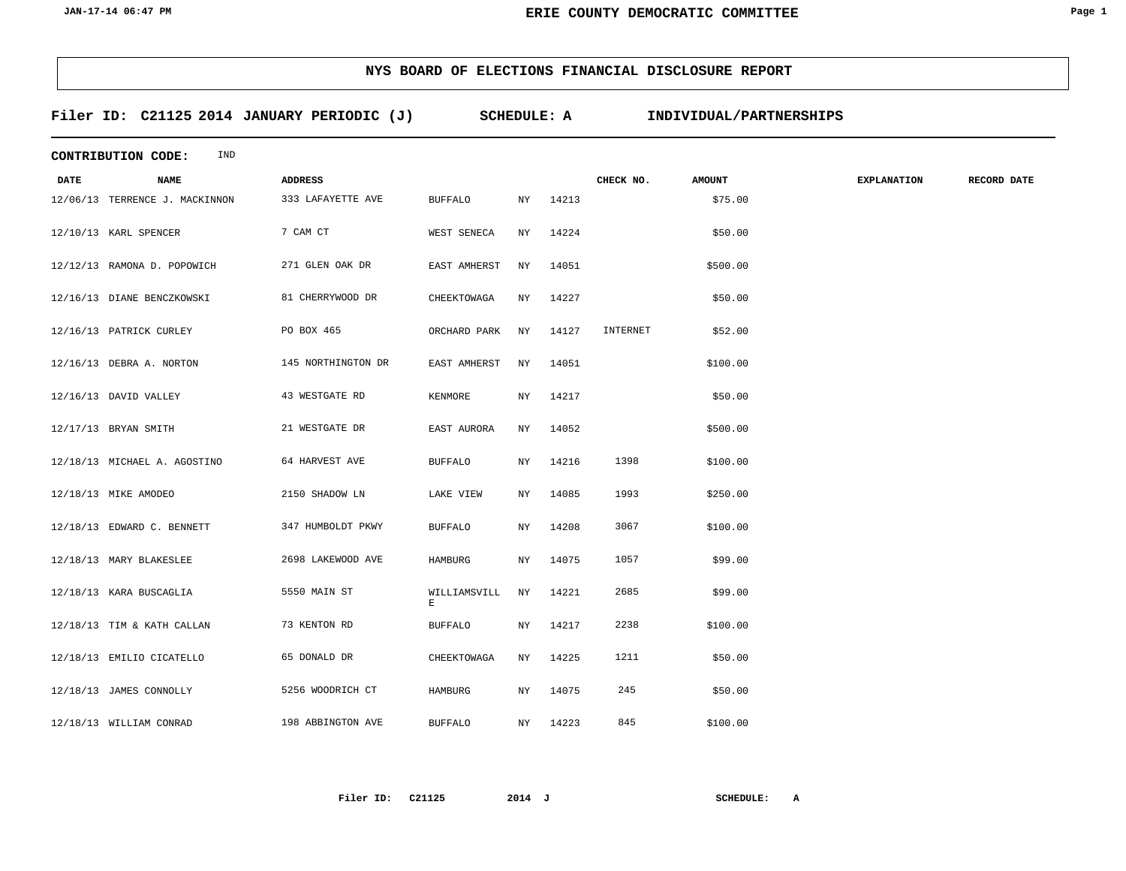### **Filer ID: C21125 2014 SCHEDULE: A INDIVIDUAL/PARTNERSHIPS JANUARY PERIODIC (J)**

|             | IND<br><b>CONTRIBUTION CODE:</b> |                    |                   |     |          |           |               |                    |             |  |  |
|-------------|----------------------------------|--------------------|-------------------|-----|----------|-----------|---------------|--------------------|-------------|--|--|
| <b>DATE</b> | <b>NAME</b>                      | <b>ADDRESS</b>     |                   |     |          | CHECK NO. | <b>AMOUNT</b> | <b>EXPLANATION</b> | RECORD DATE |  |  |
|             | 12/06/13 TERRENCE J. MACKINNON   | 333 LAFAYETTE AVE  | <b>BUFFALO</b>    | NY  | 14213    |           | \$75.00       |                    |             |  |  |
|             | 12/10/13 KARL SPENCER            | 7 CAM CT           | WEST SENECA       | NY  | 14224    |           | \$50.00       |                    |             |  |  |
|             | 12/12/13 RAMONA D. POPOWICH      | 271 GLEN OAK DR    | EAST AMHERST      | ΝY  | 14051    |           | \$500.00      |                    |             |  |  |
|             | 12/16/13 DIANE BENCZKOWSKI       | 81 CHERRYWOOD DR   | CHEEKTOWAGA       | NY  | 14227    |           | \$50.00       |                    |             |  |  |
|             | 12/16/13 PATRICK CURLEY          | PO BOX 465         | ORCHARD PARK      | NY  | 14127    | INTERNET  | \$52.00       |                    |             |  |  |
|             | 12/16/13 DEBRA A. NORTON         | 145 NORTHINGTON DR | EAST AMHERST      | NY  | 14051    |           | \$100.00      |                    |             |  |  |
|             | 12/16/13 DAVID VALLEY            | 43 WESTGATE RD     | KENMORE           | NY  | 14217    |           | \$50.00       |                    |             |  |  |
|             | 12/17/13 BRYAN SMITH             | 21 WESTGATE DR     | EAST AURORA       | NY  | 14052    |           | \$500.00      |                    |             |  |  |
|             | 12/18/13 MICHAEL A. AGOSTINO     | 64 HARVEST AVE     | <b>BUFFALO</b>    | NY. | 14216    | 1398      | \$100.00      |                    |             |  |  |
|             | 12/18/13 MIKE AMODEO             | 2150 SHADOW LN     | LAKE VIEW         | NY  | 14085    | 1993      | \$250.00      |                    |             |  |  |
|             | 12/18/13 EDWARD C. BENNETT       | 347 HUMBOLDT PKWY  | <b>BUFFALO</b>    | NY. | 14208    | 3067      | \$100.00      |                    |             |  |  |
|             | 12/18/13 MARY BLAKESLEE          | 2698 LAKEWOOD AVE  | HAMBURG           | NY  | 14075    | 1057      | \$99.00       |                    |             |  |  |
|             | 12/18/13 KARA BUSCAGLIA          | 5550 MAIN ST       | WILLIAMSVILL<br>E | NY  | 14221    | 2685      | \$99.00       |                    |             |  |  |
|             | 12/18/13 TIM & KATH CALLAN       | 73 KENTON RD       | <b>BUFFALO</b>    | NY. | 14217    | 2238      | \$100.00      |                    |             |  |  |
|             | 12/18/13 EMILIO CICATELLO        | 65 DONALD DR       | CHEEKTOWAGA       | NY  | 14225    | 1211      | \$50.00       |                    |             |  |  |
|             | 12/18/13 JAMES CONNOLLY          | 5256 WOODRICH CT   | HAMBURG           | NY. | 14075    | 245       | \$50.00       |                    |             |  |  |
|             | 12/18/13 WILLIAM CONRAD          | 198 ABBINGTON AVE  | <b>BUFFALO</b>    |     | NY 14223 | 845       | \$100.00      |                    |             |  |  |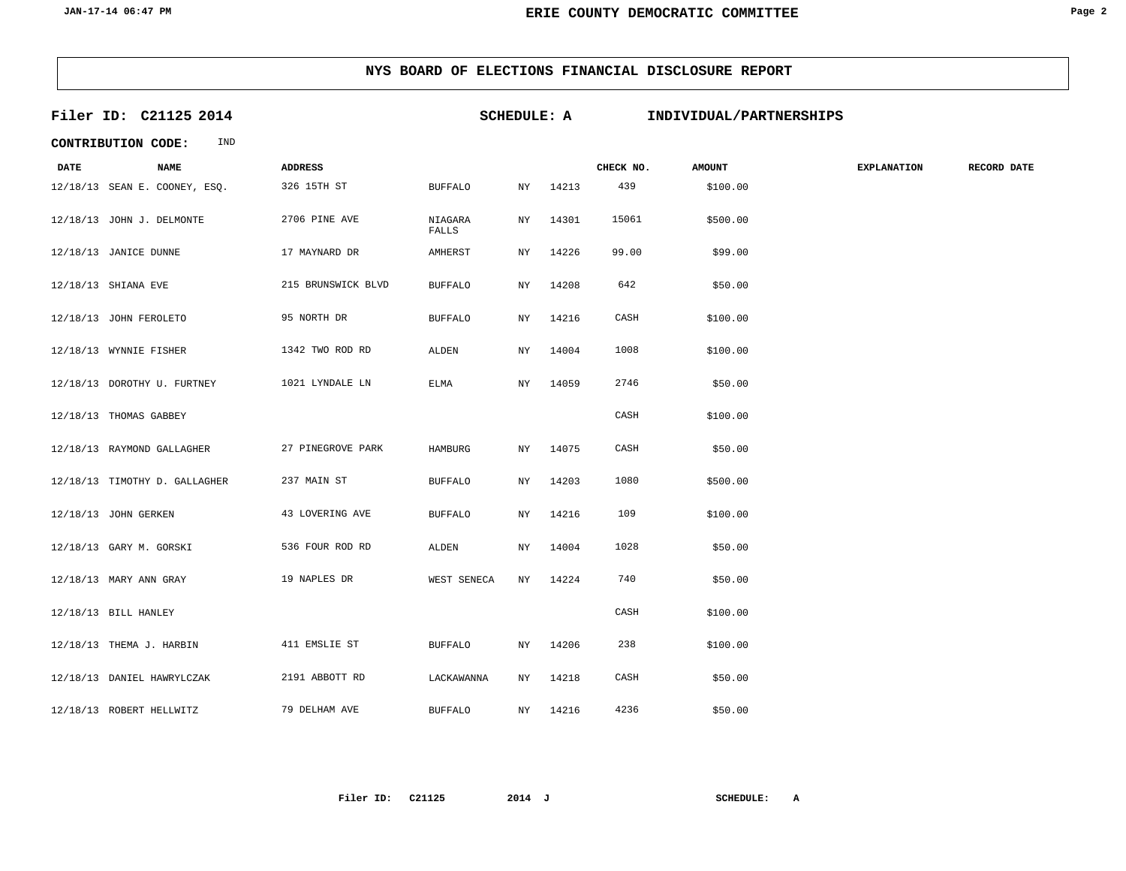| Filer ID: C21125 2014 |                                  | <b>SCHEDULE: A</b> |                  |           |       | INDIVIDUAL/PARTNERSHIPS |               |                    |             |
|-----------------------|----------------------------------|--------------------|------------------|-----------|-------|-------------------------|---------------|--------------------|-------------|
|                       | IND<br><b>CONTRIBUTION CODE:</b> |                    |                  |           |       |                         |               |                    |             |
| <b>DATE</b>           | <b>NAME</b>                      | <b>ADDRESS</b>     |                  |           |       | CHECK NO.               | <b>AMOUNT</b> | <b>EXPLANATION</b> | RECORD DATE |
|                       | 12/18/13 SEAN E. COONEY, ESQ.    | 326 15TH ST        | <b>BUFFALO</b>   | ΝY        | 14213 | 439                     | \$100.00      |                    |             |
|                       | 12/18/13 JOHN J. DELMONTE        | 2706 PINE AVE      | NIAGARA<br>FALLS | NY        | 14301 | 15061                   | \$500.00      |                    |             |
|                       | 12/18/13 JANICE DUNNE            | 17 MAYNARD DR      | AMHERST          | ΝY        | 14226 | 99.00                   | \$99.00       |                    |             |
|                       | 12/18/13 SHIANA EVE              | 215 BRUNSWICK BLVD | <b>BUFFALO</b>   | ΝY        | 14208 | 642                     | \$50.00       |                    |             |
|                       | 12/18/13 JOHN FEROLETO           | 95 NORTH DR        | <b>BUFFALO</b>   | NY        | 14216 | CASH                    | \$100.00      |                    |             |
|                       | 12/18/13 WYNNIE FISHER           | 1342 TWO ROD RD    | ALDEN            | NY        | 14004 | 1008                    | \$100.00      |                    |             |
|                       | 12/18/13 DOROTHY U. FURTNEY      | 1021 LYNDALE LN    | ELMA             | NY        | 14059 | 2746                    | \$50.00       |                    |             |
|                       | 12/18/13 THOMAS GABBEY           |                    |                  |           |       | CASH                    | \$100.00      |                    |             |
|                       | 12/18/13 RAYMOND GALLAGHER       | 27 PINEGROVE PARK  | HAMBURG          | NY        | 14075 | CASH                    | \$50.00       |                    |             |
|                       | 12/18/13 TIMOTHY D. GALLAGHER    | 237 MAIN ST        | <b>BUFFALO</b>   | ΝY        | 14203 | 1080                    | \$500.00      |                    |             |
|                       | 12/18/13 JOHN GERKEN             | 43 LOVERING AVE    | <b>BUFFALO</b>   | <b>NY</b> | 14216 | 109                     | \$100.00      |                    |             |
|                       | 12/18/13 GARY M. GORSKI          | 536 FOUR ROD RD    | ALDEN            | ΝY        | 14004 | 1028                    | \$50.00       |                    |             |
|                       | 12/18/13 MARY ANN GRAY           | 19 NAPLES DR       | WEST SENECA      | NY        | 14224 | 740                     | \$50.00       |                    |             |
|                       | 12/18/13 BILL HANLEY             |                    |                  |           |       | CASH                    | \$100.00      |                    |             |
|                       | 12/18/13 THEMA J. HARBIN         | 411 EMSLIE ST      | <b>BUFFALO</b>   | NY        | 14206 | 238                     | \$100.00      |                    |             |
|                       | 12/18/13 DANIEL HAWRYLCZAK       | 2191 ABBOTT RD     | LACKAWANNA       | NY        | 14218 | CASH                    | \$50.00       |                    |             |
|                       | 12/18/13 ROBERT HELLWITZ         | 79 DELHAM AVE      | <b>BUFFALO</b>   | NY        | 14216 | 4236                    | \$50.00       |                    |             |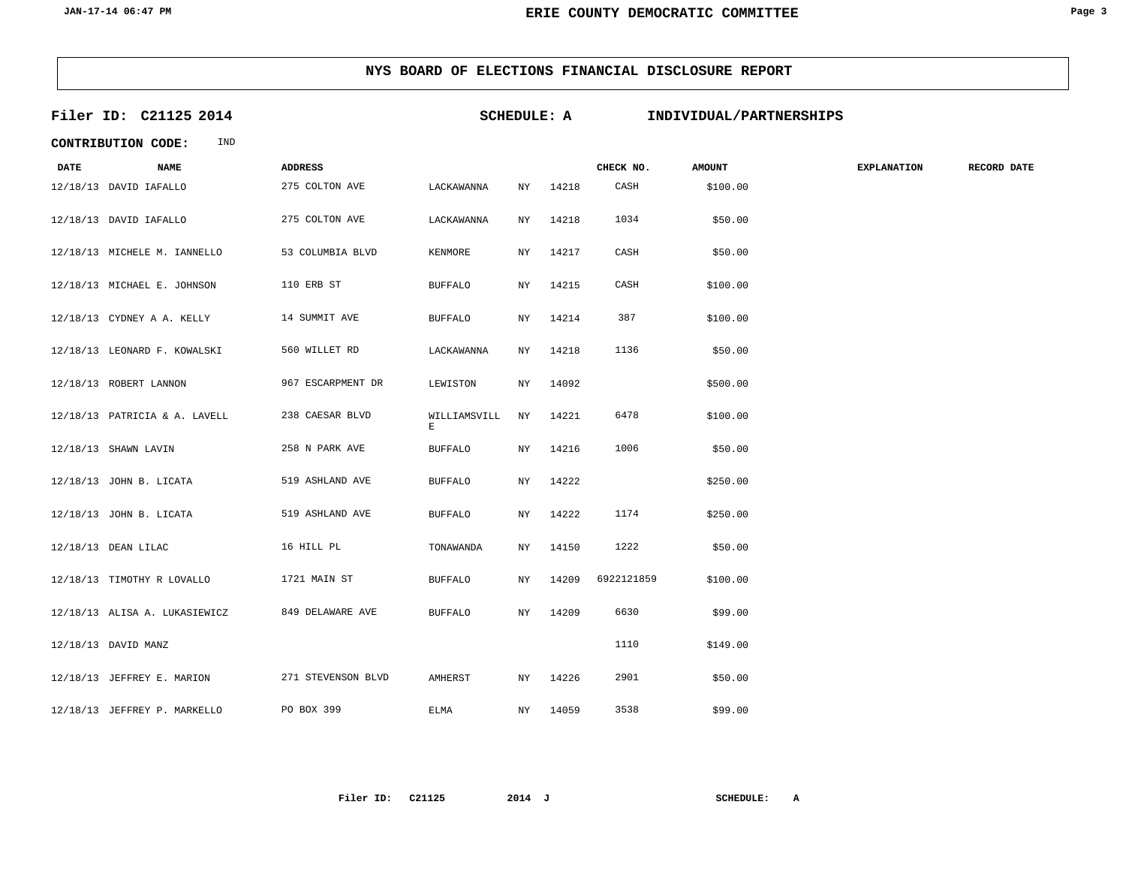|             | Filer ID: C21125 2014         |                    |                   | <b>SCHEDULE: A</b> |       |            | INDIVIDUAL/PARTNERSHIPS |                    |             |
|-------------|-------------------------------|--------------------|-------------------|--------------------|-------|------------|-------------------------|--------------------|-------------|
|             | IND<br>CONTRIBUTION CODE:     |                    |                   |                    |       |            |                         |                    |             |
| <b>DATE</b> | <b>NAME</b>                   | <b>ADDRESS</b>     |                   |                    |       | CHECK NO.  | <b>AMOUNT</b>           | <b>EXPLANATION</b> | RECORD DATE |
|             | 12/18/13 DAVID IAFALLO        | 275 COLTON AVE     | LACKAWANNA        | NY                 | 14218 | CASH       | \$100.00                |                    |             |
|             | 12/18/13 DAVID IAFALLO        | 275 COLTON AVE     | LACKAWANNA        | ΝY                 | 14218 | 1034       | \$50.00                 |                    |             |
|             | 12/18/13 MICHELE M. IANNELLO  | 53 COLUMBIA BLVD   | KENMORE           | ΝY                 | 14217 | CASH       | \$50.00                 |                    |             |
|             | 12/18/13 MICHAEL E. JOHNSON   | 110 ERB ST         | <b>BUFFALO</b>    | NY.                | 14215 | CASH       | \$100.00                |                    |             |
|             | 12/18/13 CYDNEY A A. KELLY    | 14 SUMMIT AVE      | <b>BUFFALO</b>    | ΝY                 | 14214 | 387        | \$100.00                |                    |             |
|             | 12/18/13 LEONARD F. KOWALSKI  | 560 WILLET RD      | LACKAWANNA        | ${\rm NY}$         | 14218 | 1136       | \$50.00                 |                    |             |
|             | 12/18/13 ROBERT LANNON        | 967 ESCARPMENT DR  | LEWISTON          | NY.                | 14092 |            | \$500.00                |                    |             |
|             | 12/18/13 PATRICIA & A. LAVELL | 238 CAESAR BLVD    | WILLIAMSVILL<br>E | NY                 | 14221 | 6478       | \$100.00                |                    |             |
|             | 12/18/13 SHAWN LAVIN          | 258 N PARK AVE     | <b>BUFFALO</b>    | NY                 | 14216 | 1006       | \$50.00                 |                    |             |
|             | 12/18/13 JOHN B. LICATA       | 519 ASHLAND AVE    | <b>BUFFALO</b>    | NY.                | 14222 |            | \$250.00                |                    |             |
|             | 12/18/13 JOHN B. LICATA       | 519 ASHLAND AVE    | <b>BUFFALO</b>    | <b>NY</b>          | 14222 | 1174       | \$250.00                |                    |             |
|             | 12/18/13 DEAN LILAC           | 16 HILL PL         | TONAWANDA         | NY.                | 14150 | 1222       | \$50.00                 |                    |             |
|             | 12/18/13 TIMOTHY R LOVALLO    | 1721 MAIN ST       | <b>BUFFALO</b>    | NY.                | 14209 | 6922121859 | \$100.00                |                    |             |
|             | 12/18/13 ALISA A. LUKASIEWICZ | 849 DELAWARE AVE   | <b>BUFFALO</b>    | NY.                | 14209 | 6630       | \$99.00                 |                    |             |
|             | 12/18/13 DAVID MANZ           |                    |                   |                    |       | 1110       | \$149.00                |                    |             |
|             | 12/18/13 JEFFREY E. MARION    | 271 STEVENSON BLVD | AMHERST           | NY                 | 14226 | 2901       | \$50.00                 |                    |             |
|             | 12/18/13 JEFFREY P. MARKELLO  | PO BOX 399         | <b>ELMA</b>       | NY                 | 14059 | 3538       | \$99.00                 |                    |             |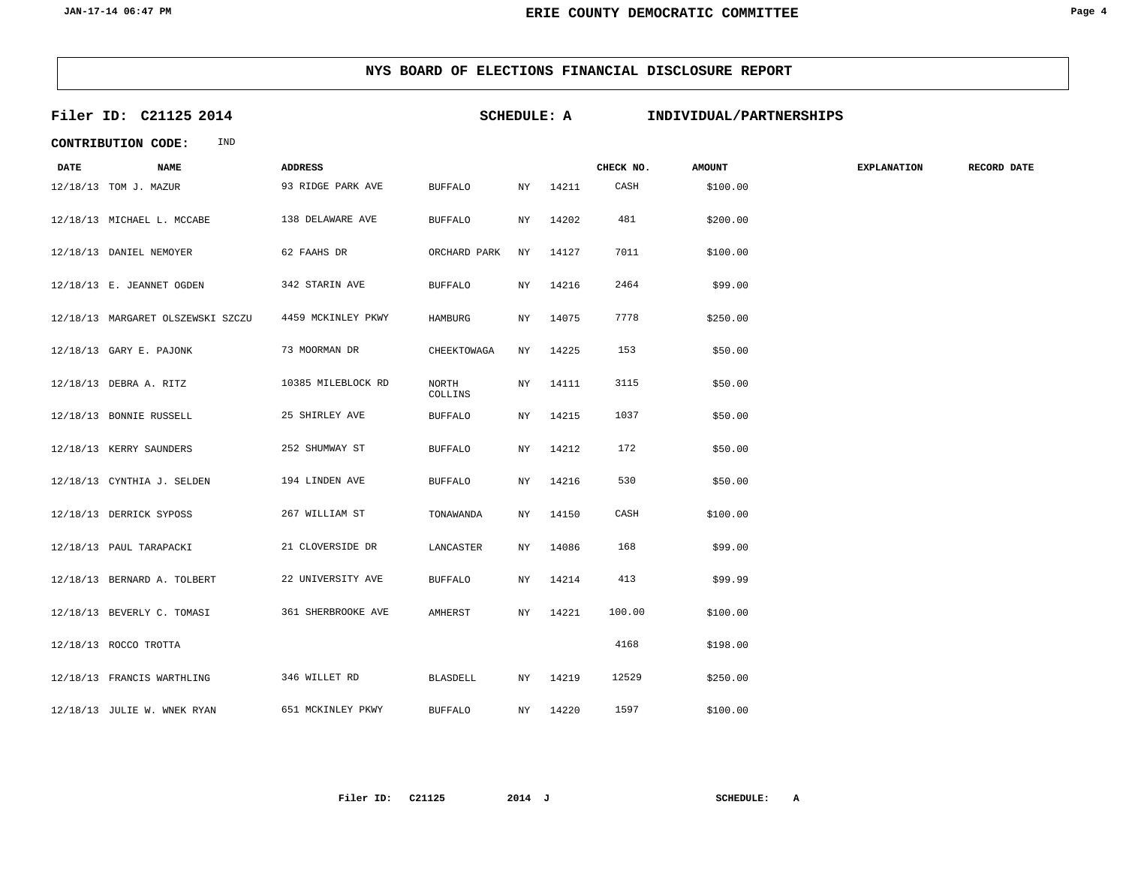|             | Filer ID: C21125 2014             |                    |                  | <b>SCHEDULE: A</b> |       |           | INDIVIDUAL/PARTNERSHIPS |                    |                    |
|-------------|-----------------------------------|--------------------|------------------|--------------------|-------|-----------|-------------------------|--------------------|--------------------|
|             | IND<br><b>CONTRIBUTION CODE:</b>  |                    |                  |                    |       |           |                         |                    |                    |
| <b>DATE</b> | <b>NAME</b>                       | <b>ADDRESS</b>     |                  |                    |       | CHECK NO. | <b>AMOUNT</b>           | <b>EXPLANATION</b> | <b>RECORD DATE</b> |
|             | 12/18/13 TOM J. MAZUR             | 93 RIDGE PARK AVE  | <b>BUFFALO</b>   | ΝY                 | 14211 | CASH      | \$100.00                |                    |                    |
|             | 12/18/13 MICHAEL L. MCCABE        | 138 DELAWARE AVE   | <b>BUFFALO</b>   | NY.                | 14202 | 481       | \$200.00                |                    |                    |
|             | 12/18/13 DANIEL NEMOYER           | 62 FAAHS DR        | ORCHARD PARK     | ΝY                 | 14127 | 7011      | \$100.00                |                    |                    |
|             | 12/18/13 E. JEANNET OGDEN         | 342 STARIN AVE     | <b>BUFFALO</b>   | ΝY                 | 14216 | 2464      | \$99.00                 |                    |                    |
|             | 12/18/13 MARGARET OLSZEWSKI SZCZU | 4459 MCKINLEY PKWY | <b>HAMBURG</b>   | NY.                | 14075 | 7778      | \$250.00                |                    |                    |
|             | 12/18/13 GARY E. PAJONK           | 73 MOORMAN DR      | CHEEKTOWAGA      | ΝY                 | 14225 | 153       | \$50.00                 |                    |                    |
|             | 12/18/13 DEBRA A. RITZ            | 10385 MILEBLOCK RD | NORTH<br>COLLINS | ΝY                 | 14111 | 3115      | \$50.00                 |                    |                    |
|             | 12/18/13 BONNIE RUSSELL           | 25 SHIRLEY AVE     | <b>BUFFALO</b>   | NY.                | 14215 | 1037      | \$50.00                 |                    |                    |
|             | 12/18/13 KERRY SAUNDERS           | 252 SHUMWAY ST     | <b>BUFFALO</b>   | ΝY                 | 14212 | 172       | \$50.00                 |                    |                    |
|             | 12/18/13 CYNTHIA J. SELDEN        | 194 LINDEN AVE     | <b>BUFFALO</b>   | ΝY                 | 14216 | 530       | \$50.00                 |                    |                    |
|             | 12/18/13 DERRICK SYPOSS           | 267 WILLIAM ST     | TONAWANDA        | ΝY                 | 14150 | CASH      | \$100.00                |                    |                    |
|             | 12/18/13 PAUL TARAPACKI           | 21 CLOVERSIDE DR   | LANCASTER        | ΝY                 | 14086 | 168       | \$99.00                 |                    |                    |
|             | 12/18/13 BERNARD A. TOLBERT       | 22 UNIVERSITY AVE  | <b>BUFFALO</b>   | ΝY                 | 14214 | 413       | \$99.99                 |                    |                    |
|             | 12/18/13 BEVERLY C. TOMASI        | 361 SHERBROOKE AVE | AMHERST          | NY.                | 14221 | 100.00    | \$100.00                |                    |                    |
|             | 12/18/13 ROCCO TROTTA             |                    |                  |                    |       | 4168      | \$198.00                |                    |                    |
|             | 12/18/13 FRANCIS WARTHLING        | 346 WILLET RD      | <b>BLASDELL</b>  | ΝY                 | 14219 | 12529     | \$250.00                |                    |                    |
|             | 12/18/13 JULIE W. WNEK RYAN       | 651 MCKINLEY PKWY  | <b>BUFFALO</b>   | NY.                | 14220 | 1597      | \$100.00                |                    |                    |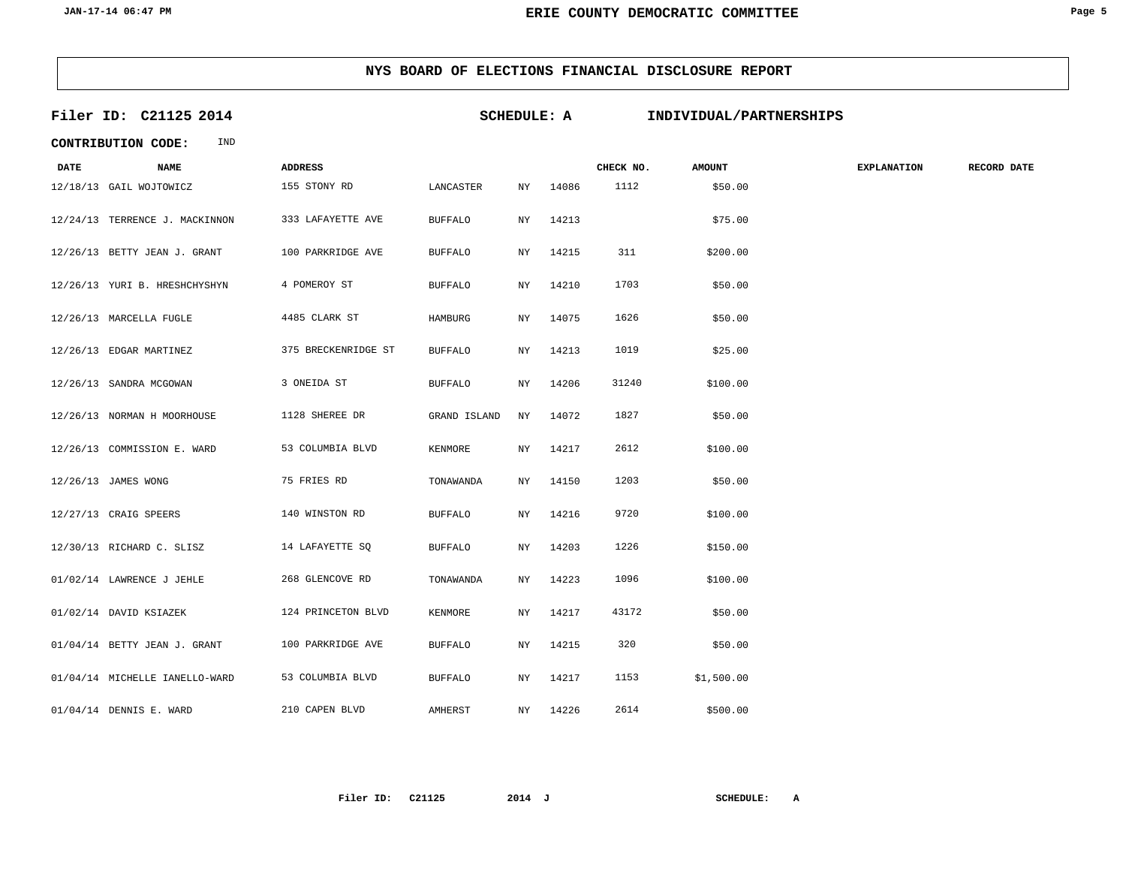|             | Filer ID: C21125 2014          |                     | <b>SCHEDULE: A</b> |            |       |           | INDIVIDUAL/PARTNERSHIPS |                    |             |
|-------------|--------------------------------|---------------------|--------------------|------------|-------|-----------|-------------------------|--------------------|-------------|
|             | IND<br>CONTRIBUTION CODE:      |                     |                    |            |       |           |                         |                    |             |
| <b>DATE</b> | <b>NAME</b>                    | <b>ADDRESS</b>      |                    |            |       | CHECK NO. | <b>AMOUNT</b>           | <b>EXPLANATION</b> | RECORD DATE |
|             | 12/18/13 GAIL WOJTOWICZ        | 155 STONY RD        | LANCASTER          | ΝY         | 14086 | 1112      | \$50.00                 |                    |             |
|             | 12/24/13 TERRENCE J. MACKINNON | 333 LAFAYETTE AVE   | <b>BUFFALO</b>     | ΝY         | 14213 |           | \$75.00                 |                    |             |
|             | 12/26/13 BETTY JEAN J. GRANT   | 100 PARKRIDGE AVE   | <b>BUFFALO</b>     | ΝY         | 14215 | 311       | \$200.00                |                    |             |
|             | 12/26/13 YURI B. HRESHCHYSHYN  | 4 POMEROY ST        | <b>BUFFALO</b>     | ΝY         | 14210 | 1703      | \$50.00                 |                    |             |
|             | 12/26/13 MARCELLA FUGLE        | 4485 CLARK ST       | HAMBURG            | ΝY         | 14075 | 1626      | \$50.00                 |                    |             |
|             | 12/26/13 EDGAR MARTINEZ        | 375 BRECKENRIDGE ST | <b>BUFFALO</b>     | ΝY         | 14213 | 1019      | \$25.00                 |                    |             |
|             | 12/26/13 SANDRA MCGOWAN        | 3 ONEIDA ST         | <b>BUFFALO</b>     | ΝY         | 14206 | 31240     | \$100.00                |                    |             |
|             | 12/26/13 NORMAN H MOORHOUSE    | 1128 SHEREE DR      | GRAND ISLAND       | ΝY         | 14072 | 1827      | \$50.00                 |                    |             |
|             | 12/26/13 COMMISSION E. WARD    | 53 COLUMBIA BLVD    | KENMORE            | ΝY         | 14217 | 2612      | \$100.00                |                    |             |
|             | 12/26/13 JAMES WONG            | 75 FRIES RD         | TONAWANDA          | ΝY         | 14150 | 1203      | \$50.00                 |                    |             |
|             | 12/27/13 CRAIG SPEERS          | 140 WINSTON RD      | <b>BUFFALO</b>     | NY.        | 14216 | 9720      | \$100.00                |                    |             |
|             | 12/30/13 RICHARD C. SLISZ      | 14 LAFAYETTE SQ     | <b>BUFFALO</b>     | NY.        | 14203 | 1226      | \$150.00                |                    |             |
|             | 01/02/14 LAWRENCE J JEHLE      | 268 GLENCOVE RD     | TONAWANDA          | ΝY         | 14223 | 1096      | \$100.00                |                    |             |
|             | 01/02/14 DAVID KSIAZEK         | 124 PRINCETON BLVD  | KENMORE            | ΝY         | 14217 | 43172     | \$50.00                 |                    |             |
|             | 01/04/14 BETTY JEAN J. GRANT   | 100 PARKRIDGE AVE   | <b>BUFFALO</b>     | ΝY         | 14215 | 320       | \$50.00                 |                    |             |
|             | 01/04/14 MICHELLE IANELLO-WARD | 53 COLUMBIA BLVD    | <b>BUFFALO</b>     | ${\rm NY}$ | 14217 | 1153      | \$1,500.00              |                    |             |
|             | 01/04/14 DENNIS E. WARD        | 210 CAPEN BLVD      | AMHERST            | ΝY         | 14226 | 2614      | \$500.00                |                    |             |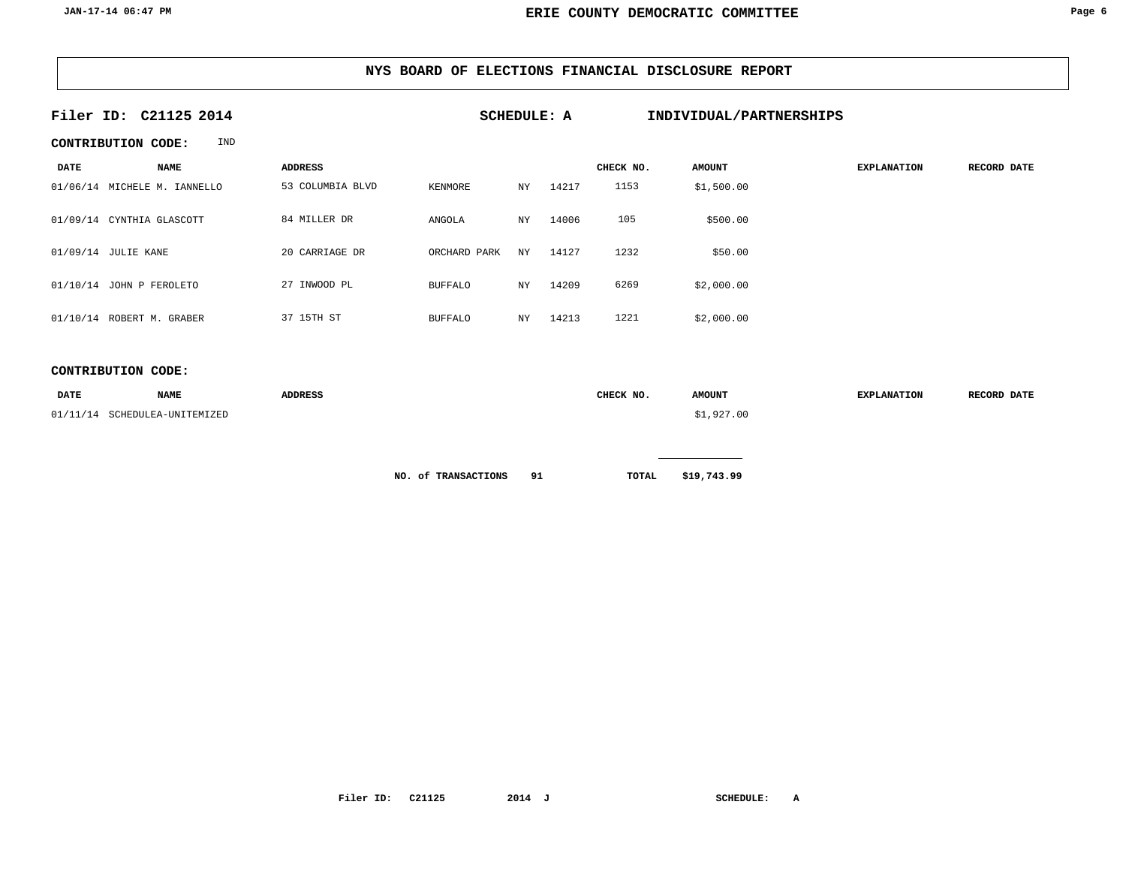| Filer ID: C21125 2014 |                              |                  | <b>SCHEDULE: A</b> |    |       |           | INDIVIDUAL/PARTNERSHIPS |                    |             |
|-----------------------|------------------------------|------------------|--------------------|----|-------|-----------|-------------------------|--------------------|-------------|
|                       | IND<br>CONTRIBUTION CODE:    |                  |                    |    |       |           |                         |                    |             |
| <b>DATE</b>           | <b>NAME</b>                  | <b>ADDRESS</b>   |                    |    |       | CHECK NO. | <b>AMOUNT</b>           | <b>EXPLANATION</b> | RECORD DATE |
|                       | 01/06/14 MICHELE M. IANNELLO | 53 COLUMBIA BLVD | KENMORE            | NY | 14217 | 1153      | \$1,500.00              |                    |             |
|                       | 01/09/14 CYNTHIA GLASCOTT    | 84 MILLER DR     | ANGOLA             | NY | 14006 | 105       | \$500.00                |                    |             |
|                       | 01/09/14 JULIE KANE          | 20 CARRIAGE DR   | ORCHARD PARK       | NY | 14127 | 1232      | \$50.00                 |                    |             |
|                       | 01/10/14 JOHN P FEROLETO     | 27 INWOOD PL     | <b>BUFFALO</b>     | NY | 14209 | 6269      | \$2,000.00              |                    |             |
|                       | 01/10/14 ROBERT M. GRABER    | 37 15TH ST       | <b>BUFFALO</b>     | NY | 14213 | 1221      | \$2,000.00              |                    |             |

### **CONTRIBUTION CODE:**

| <b>DATE</b> | <b>NAME</b>          | <b>ADDRESS</b> | CHECK NO. | <b>AMOUNT</b> | <b>EXPLANATION</b> | RECORD DATE |
|-------------|----------------------|----------------|-----------|---------------|--------------------|-------------|
| 01/11/14    | SCHEDULEA-UNITEMIZED |                |           | \$1,927.00    |                    |             |
|             |                      |                |           |               |                    |             |

**NO.** of **TRANSACTIONS 91 TOTAL** \$19,743.99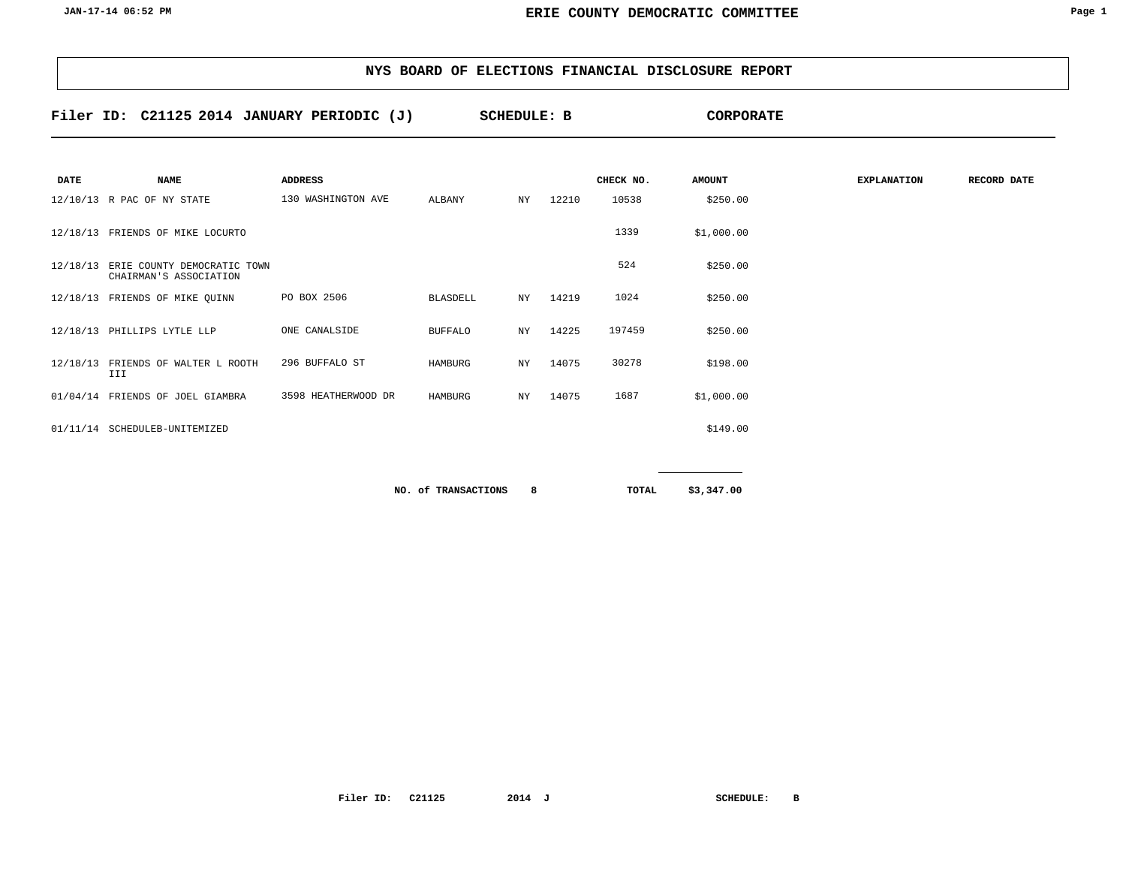**Filer ID: C21125 2014 SCHEDULE: B CORPORATE JANUARY PERIODIC (J)**

| <b>DATE</b> | <b>NAME</b>                                                    | ADDRESS             |                 |     |          | CHECK NO. | <b>AMOUNT</b> | <b>EXPLANATION</b> | RECORD DATE |
|-------------|----------------------------------------------------------------|---------------------|-----------------|-----|----------|-----------|---------------|--------------------|-------------|
|             | 12/10/13 R PAC OF NY STATE                                     | 130 WASHINGTON AVE  | ALBANY          | NY  | 12210    | 10538     | \$250.00      |                    |             |
|             | 12/18/13 FRIENDS OF MIKE LOCURTO                               |                     |                 |     |          | 1339      | \$1,000.00    |                    |             |
|             | 12/18/13 ERIE COUNTY DEMOCRATIC TOWN<br>CHAIRMAN'S ASSOCIATION |                     |                 |     |          | 524       | \$250.00      |                    |             |
|             | 12/18/13 FRIENDS OF MIKE QUINN                                 | PO BOX 2506         | <b>BLASDELL</b> |     | NY 14219 | 1024      | \$250.00      |                    |             |
|             | 12/18/13 PHILLIPS LYTLE LLP                                    | ONE CANALSIDE       | <b>BUFFALO</b>  | NY  | 14225    | 197459    | \$250.00      |                    |             |
|             | 12/18/13 FRIENDS OF WALTER L ROOTH<br>III                      | 296 BUFFALO ST      | HAMBURG         | NY. | 14075    | 30278     | \$198.00      |                    |             |
|             | 01/04/14 FRIENDS OF JOEL GIAMBRA                               | 3598 HEATHERWOOD DR | HAMBURG         | NY  | 14075    | 1687      | \$1,000.00    |                    |             |
|             | 01/11/14 SCHEDULEB-UNITEMIZED                                  |                     |                 |     |          |           | \$149.00      |                    |             |
|             |                                                                |                     |                 |     |          |           |               |                    |             |

**8 RO. of TRANSACTIONS 8 EXECUTE: 8 B EXECUTE: 8 EXECUTE: 8 EXECUTE: 9 EXECUTE: 9 EXECUTE: 9 EXECUTE: 9 EXECUTE: 9 EXECUTE: 9 EXECUTE: 9 EXECUTE: 9 EXECUTE: 9 EXE**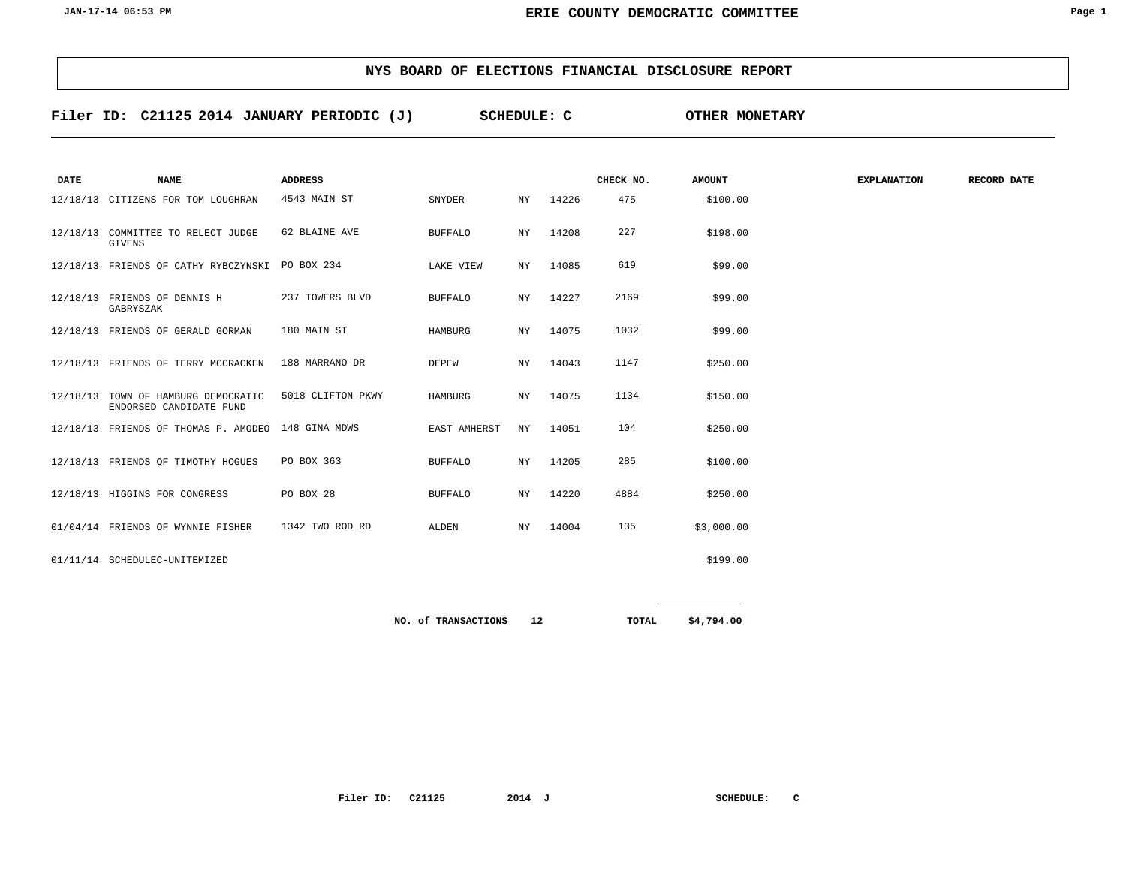| NYS BOARD OF ELECTIONS FINANCIAL DISCLOSURE REPORT |  |
|----------------------------------------------------|--|
|----------------------------------------------------|--|

**Filer ID: C21125 2014 SCHEDULE: C OTHER MONETARY JANUARY PERIODIC (J)**

| <b>DATE</b> | <b>NAME</b>                                                    | <b>ADDRESS</b>    |                     |     |       | CHECK NO. | <b>AMOUNT</b> | <b>EXPLANATION</b> | <b>RECORD DATE</b> |
|-------------|----------------------------------------------------------------|-------------------|---------------------|-----|-------|-----------|---------------|--------------------|--------------------|
|             |                                                                |                   |                     |     |       |           |               |                    |                    |
|             | 12/18/13 CITIZENS FOR TOM LOUGHRAN                             | 4543 MAIN ST      | SNYDER              | ΝY  | 14226 | 475       | \$100.00      |                    |                    |
|             | 12/18/13 COMMITTEE TO RELECT JUDGE<br><b>GIVENS</b>            | 62 BLAINE AVE     | <b>BUFFALO</b>      | ΝY  | 14208 | 227       | \$198.00      |                    |                    |
|             | 12/18/13 FRIENDS OF CATHY RYBCZYNSKI                           | PO BOX 234        | LAKE VIEW           | NY. | 14085 | 619       | \$99.00       |                    |                    |
|             | 12/18/13 FRIENDS OF DENNIS H<br>GABRYSZAK                      | 237 TOWERS BLVD   | <b>BUFFALO</b>      | ΝY  | 14227 | 2169      | \$99.00       |                    |                    |
|             | 12/18/13 FRIENDS OF GERALD GORMAN                              | 180 MAIN ST       | HAMBURG             | ΝY  | 14075 | 1032      | \$99.00       |                    |                    |
|             | 12/18/13 FRIENDS OF TERRY MCCRACKEN                            | 188 MARRANO DR    | DEPEW               | NY. | 14043 | 1147      | \$250.00      |                    |                    |
|             | 12/18/13 TOWN OF HAMBURG DEMOCRATIC<br>ENDORSED CANDIDATE FUND | 5018 CLIFTON PKWY | HAMBURG             | ΝY  | 14075 | 1134      | \$150.00      |                    |                    |
|             | 12/18/13 FRIENDS OF THOMAS P. AMODEO                           | 148 GINA MDWS     | <b>EAST AMHERST</b> | NY. | 14051 | 104       | \$250.00      |                    |                    |
|             | 12/18/13 FRIENDS OF TIMOTHY HOGUES                             | PO BOX 363        | <b>BUFFALO</b>      | ΝY  | 14205 | 285       | \$100.00      |                    |                    |
|             | 12/18/13 HIGGINS FOR CONGRESS                                  | PO BOX 28         | <b>BUFFALO</b>      | NY. | 14220 | 4884      | \$250.00      |                    |                    |
|             | 01/04/14 FRIENDS OF WYNNIE FISHER                              | 1342 TWO ROD RD   | ALDEN               | NY. | 14004 | 135       | \$3,000.00    |                    |                    |
|             | 01/11/14 SCHEDULEC-UNITEMIZED                                  |                   |                     |     |       |           | \$199.00      |                    |                    |
|             |                                                                |                   |                     |     |       |           |               |                    |                    |
|             |                                                                |                   | NO. of TRANSACTIONS | 12  |       | TOTAL     | \$4,794.00    |                    |                    |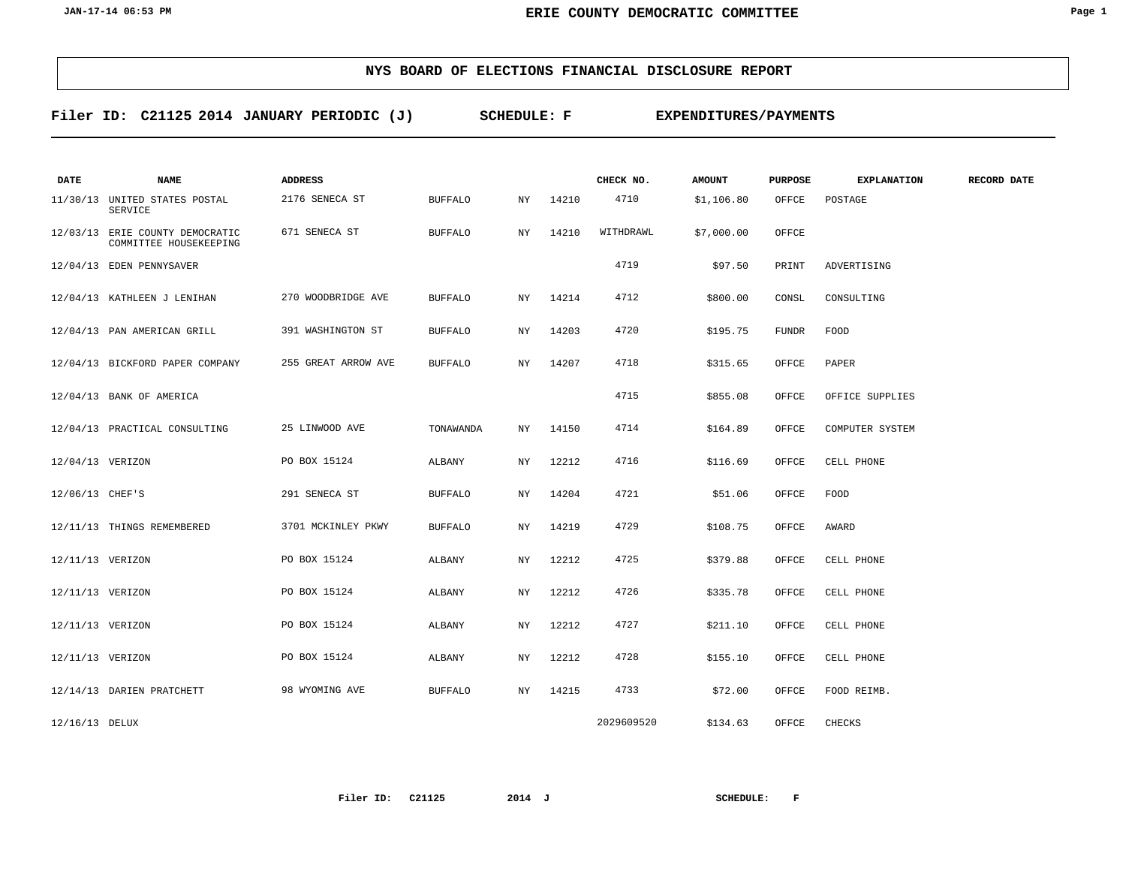**Filer ID: C21125 2014 SCHEDULE: F EXPENDITURES/PAYMENTS JANUARY PERIODIC (J)**

| DATE             | <b>NAME</b>                                               | <b>ADDRESS</b>      |                |     |       | CHECK NO.  | <b>AMOUNT</b> | <b>PURPOSE</b> | <b>EXPLANATION</b> | RECORD DATE |
|------------------|-----------------------------------------------------------|---------------------|----------------|-----|-------|------------|---------------|----------------|--------------------|-------------|
|                  | 11/30/13 UNITED STATES POSTAL<br><b>SERVICE</b>           | 2176 SENECA ST      | <b>BUFFALO</b> | NY  | 14210 | 4710       | \$1,106.80    | OFFCE          | POSTAGE            |             |
|                  | 12/03/13 ERIE COUNTY DEMOCRATIC<br>COMMITTEE HOUSEKEEPING | 671 SENECA ST       | <b>BUFFALO</b> | NY  | 14210 | WITHDRAWL  | \$7,000.00    | OFFCE          |                    |             |
|                  | 12/04/13 EDEN PENNYSAVER                                  |                     |                |     |       | 4719       | \$97.50       | PRINT          | ADVERTISING        |             |
|                  | 12/04/13 KATHLEEN J LENIHAN                               | 270 WOODBRIDGE AVE  | <b>BUFFALO</b> | NY  | 14214 | 4712       | \$800.00      | CONSL          | CONSULTING         |             |
|                  | 12/04/13 PAN AMERICAN GRILL                               | 391 WASHINGTON ST   | <b>BUFFALO</b> | NY  | 14203 | 4720       | \$195.75      | <b>FUNDR</b>   | FOOD               |             |
|                  | 12/04/13 BICKFORD PAPER COMPANY                           | 255 GREAT ARROW AVE | <b>BUFFALO</b> | NY  | 14207 | 4718       | \$315.65      | OFFCE          | PAPER              |             |
|                  | 12/04/13 BANK OF AMERICA                                  |                     |                |     |       | 4715       | \$855.08      | OFFCE          | OFFICE SUPPLIES    |             |
|                  | 12/04/13 PRACTICAL CONSULTING                             | 25 LINWOOD AVE      | TONAWANDA      | NY  | 14150 | 4714       | \$164.89      | OFFCE          | COMPUTER SYSTEM    |             |
| 12/04/13 VERIZON |                                                           | PO BOX 15124        | ALBANY         | NY  | 12212 | 4716       | \$116.69      | OFFCE          | CELL PHONE         |             |
| 12/06/13 CHEF'S  |                                                           | 291 SENECA ST       | <b>BUFFALO</b> | NY  | 14204 | 4721       | \$51.06       | OFFCE          | FOOD               |             |
|                  | 12/11/13 THINGS REMEMBERED                                | 3701 MCKINLEY PKWY  | <b>BUFFALO</b> | NY. | 14219 | 4729       | \$108.75      | OFFCE          | AWARD              |             |
| 12/11/13 VERIZON |                                                           | PO BOX 15124        | ALBANY         | NY  | 12212 | 4725       | \$379.88      | OFFCE          | CELL PHONE         |             |
| 12/11/13 VERIZON |                                                           | PO BOX 15124        | ALBANY         | NY  | 12212 | 4726       | \$335.78      | OFFCE          | CELL PHONE         |             |
| 12/11/13 VERIZON |                                                           | PO BOX 15124        | ALBANY         | NY  | 12212 | 4727       | \$211.10      | OFFCE          | CELL PHONE         |             |
| 12/11/13 VERIZON |                                                           | PO BOX 15124        | ALBANY         | NY  | 12212 | 4728       | \$155.10      | OFFCE          | CELL PHONE         |             |
|                  | 12/14/13 DARIEN PRATCHETT                                 | 98 WYOMING AVE      | <b>BUFFALO</b> | NY  | 14215 | 4733       | \$72.00       | OFFCE          | FOOD REIMB.        |             |
| 12/16/13 DELUX   |                                                           |                     |                |     |       | 2029609520 | \$134.63      | OFFCE          | CHECKS             |             |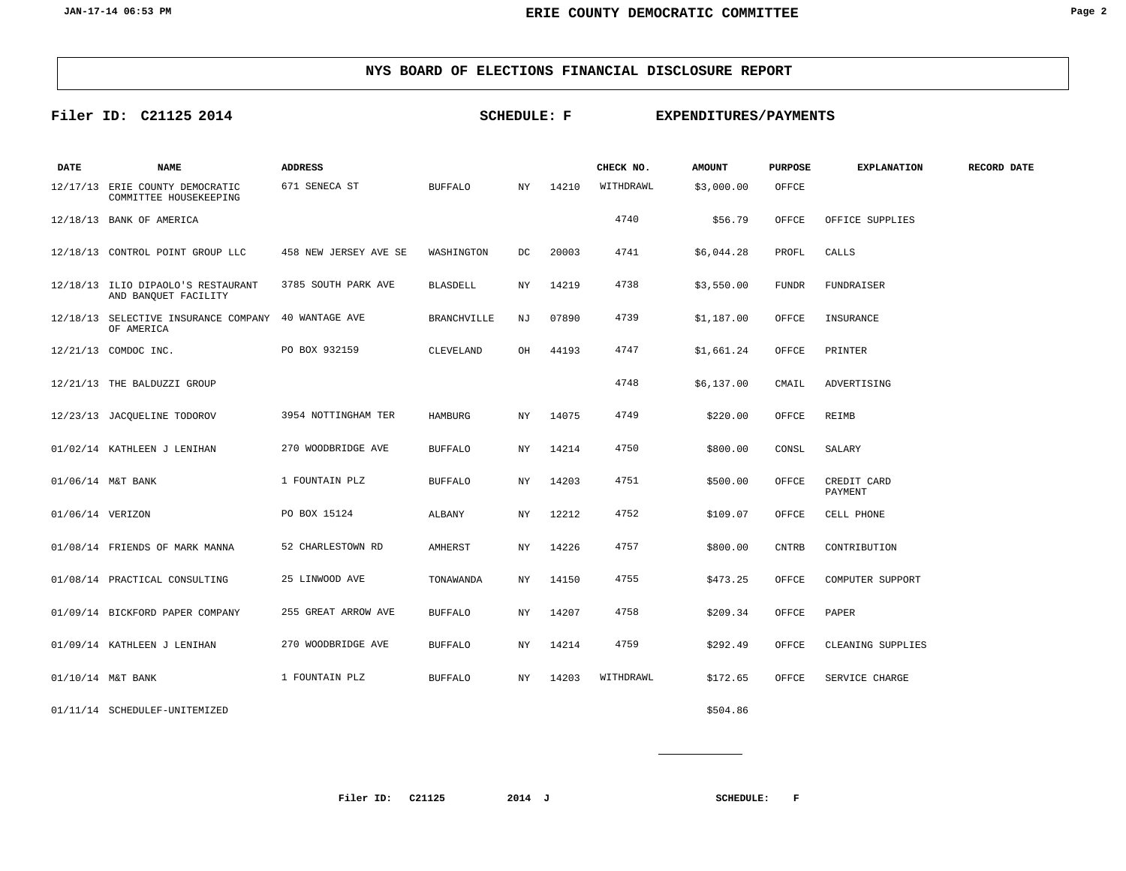## **Filer ID: C21125 2014 SCHEDULE: F EXPENDITURES/PAYMENTS**

| DATE             | <b>NAME</b>                                                       | <b>ADDRESS</b>        |                    |     |       | CHECK NO. | <b>AMOUNT</b> | <b>PURPOSE</b> | <b>EXPLANATION</b>     | RECORD DATE |
|------------------|-------------------------------------------------------------------|-----------------------|--------------------|-----|-------|-----------|---------------|----------------|------------------------|-------------|
|                  | 12/17/13 ERIE COUNTY DEMOCRATIC<br>COMMITTEE HOUSEKEEPING         | 671 SENECA ST         | <b>BUFFALO</b>     | NY. | 14210 | WITHDRAWL | \$3,000.00    | OFFCE          |                        |             |
|                  | 12/18/13 BANK OF AMERICA                                          |                       |                    |     |       | 4740      | \$56.79       | OFFCE          | OFFICE SUPPLIES        |             |
|                  | 12/18/13 CONTROL POINT GROUP LLC                                  | 458 NEW JERSEY AVE SE | WASHINGTON         | DC  | 20003 | 4741      | \$6,044.28    | PROFL          | CALLS                  |             |
|                  | 12/18/13 ILIO DIPAOLO'S RESTAURANT<br>AND BANQUET FACILITY        | 3785 SOUTH PARK AVE   | <b>BLASDELL</b>    | NY. | 14219 | 4738      | \$3,550.00    | <b>FUNDR</b>   | <b>FUNDRAISER</b>      |             |
|                  | 12/18/13 SELECTIVE INSURANCE COMPANY 40 WANTAGE AVE<br>OF AMERICA |                       | <b>BRANCHVILLE</b> | NJ  | 07890 | 4739      | \$1,187.00    | OFFCE          | INSURANCE              |             |
|                  | 12/21/13 COMDOC INC.                                              | PO BOX 932159         | CLEVELAND          | OH  | 44193 | 4747      | \$1,661.24    | OFFCE          | PRINTER                |             |
|                  | 12/21/13 THE BALDUZZI GROUP                                       |                       |                    |     |       | 4748      | \$6,137.00    | CMAIL          | ADVERTISING            |             |
|                  | 12/23/13 JACQUELINE TODOROV                                       | 3954 NOTTINGHAM TER   | HAMBURG            | NY  | 14075 | 4749      | \$220.00      | OFFCE          | REIMB                  |             |
|                  | 01/02/14 KATHLEEN J LENIHAN                                       | 270 WOODBRIDGE AVE    | <b>BUFFALO</b>     | NY  | 14214 | 4750      | \$800.00      | CONSL          | SALARY                 |             |
|                  | 01/06/14 M&T BANK                                                 | 1 FOUNTAIN PLZ        | <b>BUFFALO</b>     | NY. | 14203 | 4751      | \$500.00      | OFFCE          | CREDIT CARD<br>PAYMENT |             |
| 01/06/14 VERIZON |                                                                   | PO BOX 15124          | ALBANY             | NY. | 12212 | 4752      | \$109.07      | OFFCE          | CELL PHONE             |             |
|                  | 01/08/14 FRIENDS OF MARK MANNA                                    | 52 CHARLESTOWN RD     | AMHERST            | ΝY  | 14226 | 4757      | \$800.00      | <b>CNTRB</b>   | CONTRIBUTION           |             |
|                  | 01/08/14 PRACTICAL CONSULTING                                     | 25 LINWOOD AVE        | TONAWANDA          | NY  | 14150 | 4755      | \$473.25      | OFFCE          | COMPUTER SUPPORT       |             |
|                  | 01/09/14 BICKFORD PAPER COMPANY                                   | 255 GREAT ARROW AVE   | <b>BUFFALO</b>     | ΝY  | 14207 | 4758      | \$209.34      | OFFCE          | PAPER                  |             |
|                  | 01/09/14 KATHLEEN J LENIHAN                                       | 270 WOODBRIDGE AVE    | <b>BUFFALO</b>     | NY. | 14214 | 4759      | \$292.49      | OFFCE          | CLEANING SUPPLIES      |             |
|                  | 01/10/14 M&T BANK                                                 | 1 FOUNTAIN PLZ        | <b>BUFFALO</b>     | NY  | 14203 | WITHDRAWL | \$172.65      | OFFCE          | SERVICE CHARGE         |             |
|                  | 01/11/14 SCHEDULEF-UNITEMIZED                                     |                       |                    |     |       |           | \$504.86      |                |                        |             |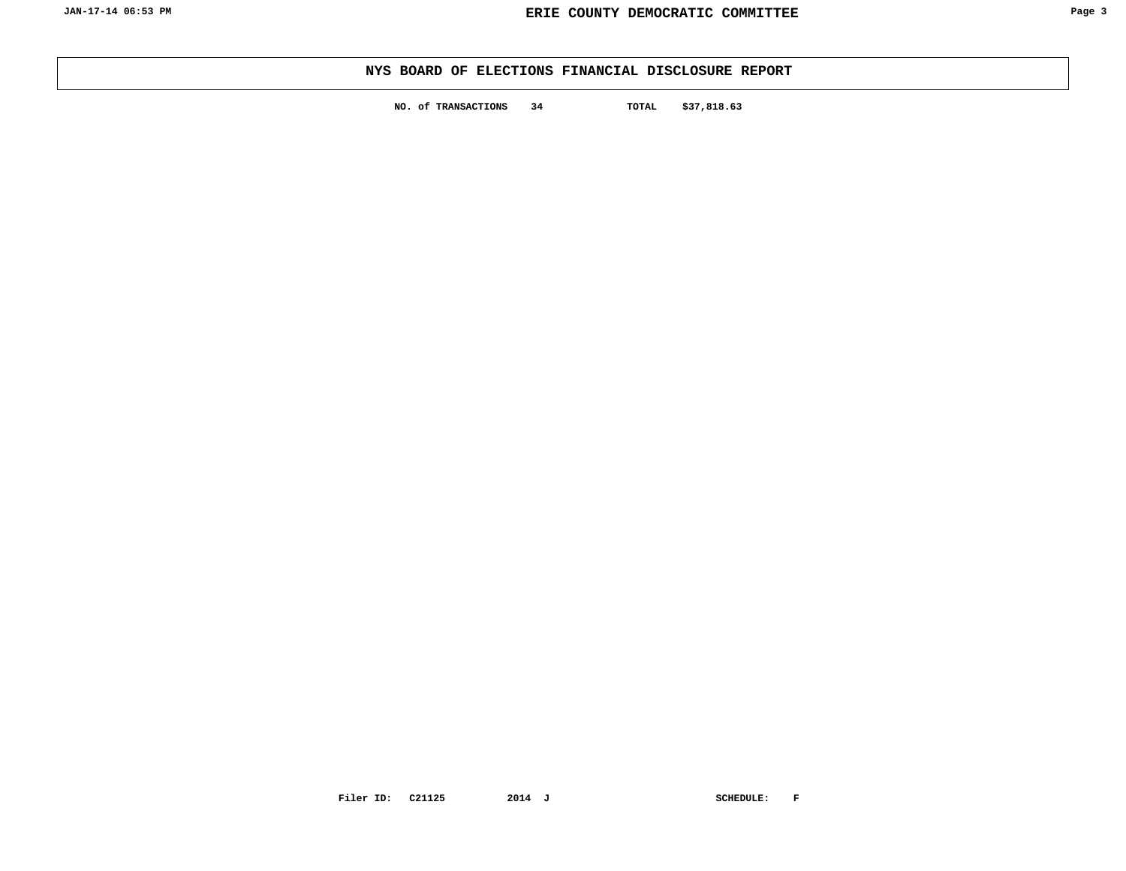**NO. of TRANSACTIONS 34 TOTAL \$37,818.63**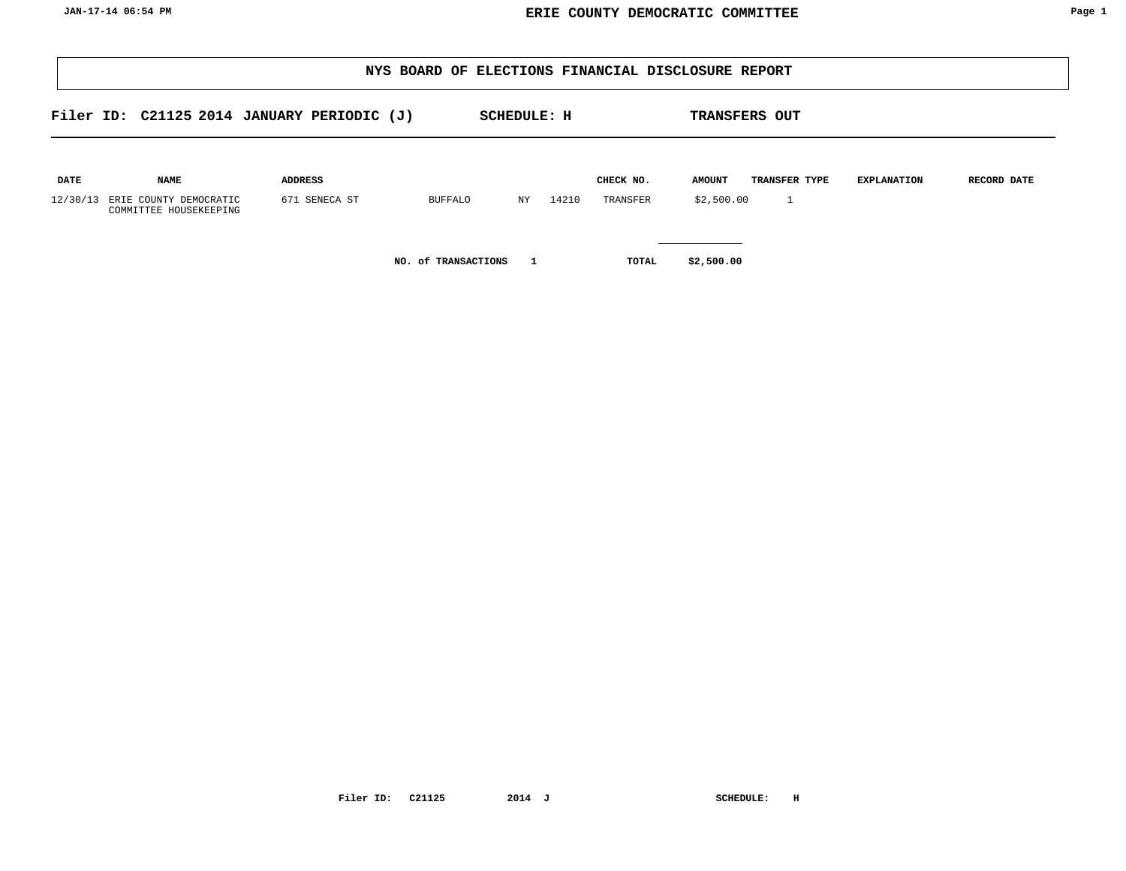|                         |                                       |                                            |                     |                |                    |       |                       | NYS BOARD OF ELECTIONS FINANCIAL DISCLOSURE REPORT |                               |                    |             |
|-------------------------|---------------------------------------|--------------------------------------------|---------------------|----------------|--------------------|-------|-----------------------|----------------------------------------------------|-------------------------------|--------------------|-------------|
|                         |                                       | Filer ID: C21125 2014 JANUARY PERIODIC (J) |                     |                | <b>SCHEDULE: H</b> |       |                       |                                                    | <b>TRANSFERS OUT</b>          |                    |             |
| <b>DATE</b><br>12/30/13 | <b>NAME</b><br>ERIE COUNTY DEMOCRATIC | <b>ADDRESS</b><br>671 SENECA ST            |                     | <b>BUFFALO</b> | NY                 | 14210 | CHECK NO.<br>TRANSFER | <b>AMOUNT</b><br>\$2,500.00                        | TRANSFER TYPE<br>$\mathbf{1}$ | <b>EXPLANATION</b> | RECORD DATE |
|                         | COMMITTEE HOUSEKEEPING                |                                            | NO. of TRANSACTIONS |                |                    |       |                       | \$2,500.00                                         |                               |                    |             |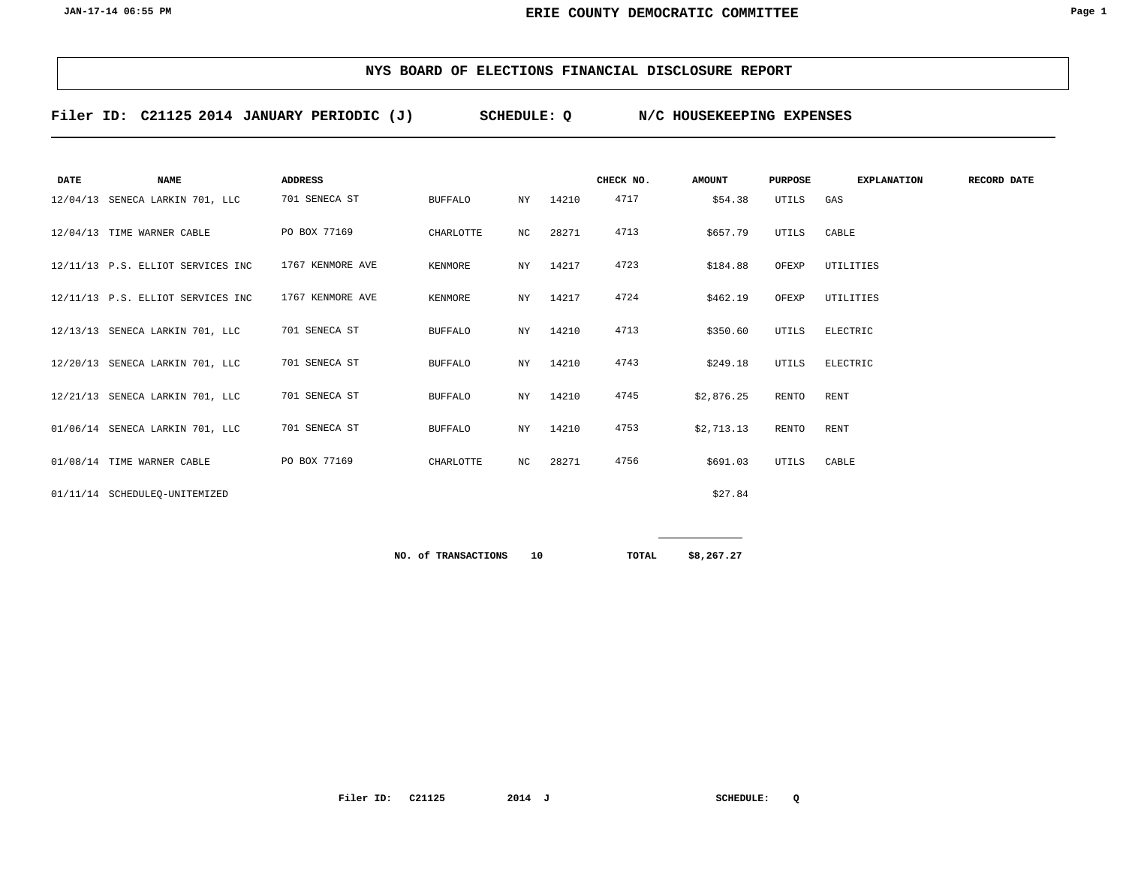**Filer ID: C21125 2014 SCHEDULE: Q N/C HOUSEKEEPING EXPENSES JANUARY PERIODIC (J)**

| <b>DATE</b> | <b>NAME</b>                       | <b>ADDRESS</b>   |                |    |       | CHECK NO. | <b>AMOUNT</b> | <b>PURPOSE</b> | <b>EXPLANATION</b> | RECORD DATE |
|-------------|-----------------------------------|------------------|----------------|----|-------|-----------|---------------|----------------|--------------------|-------------|
|             | 12/04/13 SENECA LARKIN 701, LLC   | 701 SENECA ST    | <b>BUFFALO</b> | NY | 14210 | 4717      | \$54.38       | UTILS          | GAS                |             |
|             | 12/04/13 TIME WARNER CABLE        | PO BOX 77169     | CHARLOTTE      | NC | 28271 | 4713      | \$657.79      | UTILS          | CABLE              |             |
|             | 12/11/13 P.S. ELLIOT SERVICES INC | 1767 KENMORE AVE | KENMORE        | NY | 14217 | 4723      | \$184.88      | OFEXP          | UTILITIES          |             |
|             | 12/11/13 P.S. ELLIOT SERVICES INC | 1767 KENMORE AVE | KENMORE        | NY | 14217 | 4724      | \$462.19      | OFEXP          | UTILITIES          |             |
|             | 12/13/13 SENECA LARKIN 701, LLC   | 701 SENECA ST    | <b>BUFFALO</b> | NY | 14210 | 4713      | \$350.60      | UTILS          | ELECTRIC           |             |
|             | 12/20/13 SENECA LARKIN 701, LLC   | 701 SENECA ST    | <b>BUFFALO</b> | NY | 14210 | 4743      | \$249.18      | UTILS          | ELECTRIC           |             |
|             | 12/21/13 SENECA LARKIN 701, LLC   | 701 SENECA ST    | <b>BUFFALO</b> | NY | 14210 | 4745      | \$2,876.25    | RENTO          | <b>RENT</b>        |             |
|             | 01/06/14 SENECA LARKIN 701, LLC   | 701 SENECA ST    | <b>BUFFALO</b> | NY | 14210 | 4753      | \$2,713.13    | <b>RENTO</b>   | <b>RENT</b>        |             |
|             | 01/08/14 TIME WARNER CABLE        | PO BOX 77169     | CHARLOTTE      | NC | 28271 | 4756      | \$691.03      | UTILS          | CABLE              |             |
|             | 01/11/14 SCHEDULEO-UNITEMIZED     |                  |                |    |       |           | \$27.84       |                |                    |             |
|             |                                   |                  |                |    |       |           |               |                |                    |             |

**10 \$8,267.27 NO. of TRANSACTIONS TOTAL**